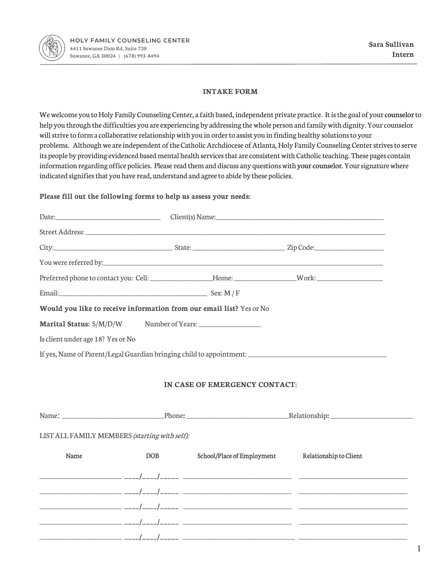

### **INTAKE FORM**

We welcome you to Holy Family Counseling Center, a faith based, independent private practice. It is the goal of yourcounselorto help you through the difficulties you are experiencing by addressing the whole person and family with dignity. Your counselor will strive to form a collaborative relationship with you in order to assist you in finding healthy solutions to your problems. Although we are independent of the Catholic Archdiocese of Atlanta, Holy Family Counseling Center strives to serve its people by providing evidenced based mental health services that are consistent with Catholic teaching. These pages contain information regarding office policies. Please read them and discuss any questions with your counselor. Your signature where indicated signifies that you have read, understand and agree to abide by these policies.

#### **Please fill out the following forms to help us assess your needs:**

Date:\_\_\_\_\_\_\_\_\_\_\_\_\_\_\_\_\_\_\_\_\_\_\_\_\_\_\_\_\_\_\_\_ Client(s) Name:\_\_\_\_\_\_\_\_\_\_\_\_\_\_\_\_\_\_\_\_\_\_\_\_\_\_\_\_\_\_\_\_\_\_\_\_\_\_\_\_\_\_\_\_\_\_\_\_\_\_\_

|                                               |     | Preferred phone to contact you: Cell: _________________Home: ___________________Work: ________________________ |                        |  |
|-----------------------------------------------|-----|----------------------------------------------------------------------------------------------------------------|------------------------|--|
|                                               |     |                                                                                                                |                        |  |
|                                               |     | Would you like to receive information from our email list? Yes or No                                           |                        |  |
|                                               |     | Marital Status: S/M/D/W Number of Years: __________________                                                    |                        |  |
| Is client under age 18? Yes or No             |     |                                                                                                                |                        |  |
|                                               |     |                                                                                                                |                        |  |
|                                               |     |                                                                                                                |                        |  |
|                                               |     | IN CASE OF EMERGENCY CONTACT:                                                                                  |                        |  |
|                                               |     |                                                                                                                |                        |  |
|                                               |     |                                                                                                                |                        |  |
| LIST ALL FAMILY MEMBERS (starting with self): |     |                                                                                                                |                        |  |
| Name                                          | DOB | School/Place of Employment                                                                                     | Relationship to Client |  |
|                                               |     |                                                                                                                |                        |  |
|                                               |     |                                                                                                                |                        |  |
|                                               |     |                                                                                                                |                        |  |
|                                               |     |                                                                                                                |                        |  |
|                                               |     |                                                                                                                |                        |  |
|                                               |     |                                                                                                                |                        |  |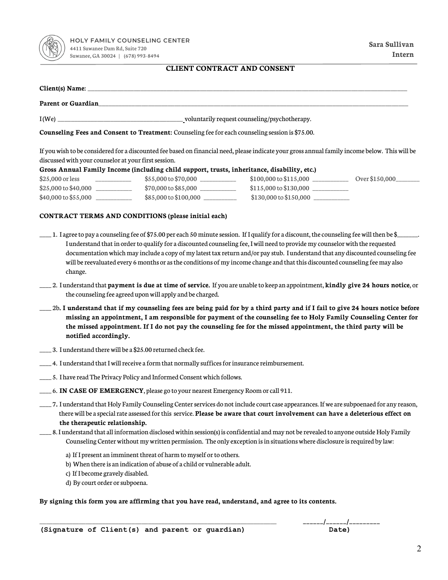

#### **CLIENT CONTRACT AND CONSENT**

# **Client(s) Name:** \_\_\_\_\_\_\_\_\_\_\_\_\_\_\_\_\_\_\_\_\_\_\_\_\_\_\_\_\_\_\_\_\_\_\_\_\_\_\_\_\_\_\_\_\_\_\_\_\_\_\_\_\_\_\_\_\_\_\_\_\_\_\_\_\_\_\_\_\_\_\_\_\_\_\_\_\_\_\_\_\_\_\_\_\_\_\_\_\_\_\_\_\_\_\_\_\_ **Parent or Guardian**\_\_\_\_\_\_\_\_\_\_\_\_\_\_\_\_\_\_\_\_\_\_\_\_\_\_\_\_\_\_\_\_\_\_\_\_\_\_\_\_\_\_\_\_\_\_\_\_\_\_\_\_\_\_\_\_\_\_\_\_\_\_\_\_\_\_\_\_\_\_\_\_\_\_\_\_\_\_\_\_\_\_\_\_\_\_\_\_\_\_\_\_\_\_ I (We) \_\_\_\_\_\_\_\_\_\_\_\_\_\_\_\_\_\_\_\_\_\_\_\_\_\_\_\_\_\_\_\_\_\_\_\_\_\_ voluntarily request counseling/psychotherapy. **Counseling Fees and Consent to Treatment:** Counseling fee for each counseling session is \$75.00. If you wish to be considered for a discounted fee based on financial need, please indicate your gross annual family income below. This will be discussed with your counselor at your first session. **Gross Annual Family Income (including child support, trusts, inheritance, disability, etc.)**  $$25,000 \text{ or less}$   $$55,000 \text{ to $70,000}$   $$20,000 \text{ to $10,000}$  to \$100,000 to \$115,000  $$20,000$   $$20,000$  $$25,000$  to  $$40,000$  \_\_\_\_\_\_\_\_\_\_\_\_\_\_ \$70,000 to  $$85,000$  \_\_\_\_\_\_\_\_\_\_\_\_ \$115,000 to  $$130,000$  \_\_\_\_\_\_\_\_  $$40,000$  to  $$55,000$  \_\_\_\_\_\_\_\_\_\_\_\_\_ \$85,000 to  $$100,000$  \_\_\_\_\_\_\_\_\_\_ \$130,000 to  $$150,000$  \_\_\_\_\_\_\_\_

#### **CONTRACT TERMS AND CONDITIONS (please initial each)**

- $\_$  1. I agree to pay a counseling fee of \$75.00 per each 50 minute session. If I qualify for a discount, the counseling fee will then be \$ $\_$ I understand that in order to qualify for a discounted counseling fee, I will need to provide my counselorwith the requested documentation which may include a copy of my latest tax return and/or pay stub. I understand that any discounted counseling fee will be reevaluated every 6 months or as the conditions of my income change and that this discounted counseling fee may also change.
- \_\_\_\_ 2. I understand that **payment is due at time of service.** If you are unable to keep an appointment, **kindly give 24 hours notice**, or the counseling fee agreed upon will apply and be charged.
- \_\_\_\_ 2b**. I understand that if my counseling fees are being paid for by a third party and if I fail to give 24 hours notice before missing an appointment, I am responsible for payment of the counseling fee to Holy Family Counseling Center for the missed appointment. If I do not pay the counseling fee for the missed appointment, the third party will be notified accordingly.**
- \_\_\_\_ 3. I understand there will be a \$25.00 returned check fee.
- \_\_\_\_ 4. I understand that I will receive a form that normally suffices for insurance reimbursement.
- \_\_\_\_ 5. I have read The Privacy Policy and Informed Consent which follows.
- \_\_\_\_ 6. **IN CASE OF EMERGENCY**, please go to your nearest Emergency Room or call 911.
- \_\_\_\_ 7**.** I understand that Holy Family Counseling Center services do not include court case appearances. If we are subpoenaed for any reason, there will be a special rate assessed for this service. **Please be aware that court involvement can have a deleterious effect on the therapeutic relationship.**
- \_\_\_\_ 8. I understand that all information disclosed within session(s) is confidential and may not be revealed to anyone outside Holy Family Counseling Center without my written permission. The only exception is in situations where disclosure is required by law:
	- a) If I present an imminent threat of harm to myself or to others.
	- b) When there is an indication of abuse of a child or vulnerable adult.
	- c) If I become gravely disabled.
	- d) By court order or subpoena.

### **By signing this form you are affirming that you have read, understand, and agree to its contents.**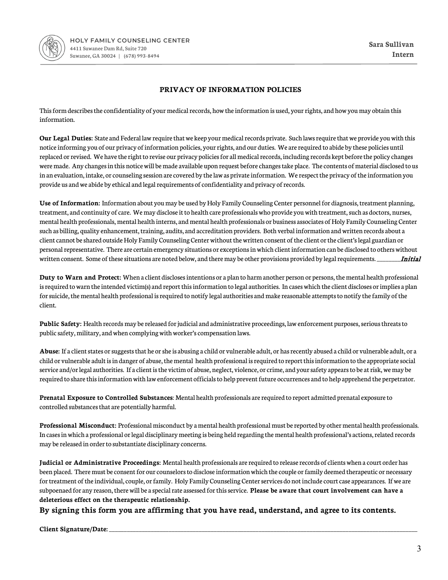

## **PRIVACY OF INFORMATION POLICIES**

This form describes the confidentiality of your medical records, how the information is used, your rights, and how you may obtain this information.

**Our Legal Duties:** State and Federal law require that we keep your medical records private. Such laws require that we provide you with this notice informing you of our privacy of information policies, your rights, and our duties. We are required to abide by these policies until replaced or revised. We have the right to revise our privacy policies for all medical records, including records kept beforethe policy changes were made. Any changes in this notice will be made available upon request before changes take place. The contents of material disclosed to us in an evaluation, intake, or counseling session are covered by the law as private information. We respect the privacy of the information you provide us and we abide by ethical and legal requirements of confidentiality and privacy of records.

**Use of Information:** Information about you may be used by Holy Family Counseling Center personnel for diagnosis, treatment planning, treatment, and continuity of care. We may disclose it to health care professionals who provide you with treatment, such as doctors, nurses, mental health professionals, mental health interns, and mental health professionals or business associates of Holy Family Counseling Center such as billing, quality enhancement, training, audits, and accreditation providers. Both verbal information and written records about a client cannot be shared outside Holy Family Counseling Center without the written consent of the client or the client's legal guardian or personal representative. There are certain emergency situations or exceptions in which client information can be disclosed to others without written consent. Some of these situations are noted below, and there may be other provisions provided by legal requirements. \_\_\_\_\_\_\_\_**Initial** 

**Duty to Warn and Protect:** When a client discloses intentions or a plan to harm another person or persons, the mental health professional is required to warn the intended victim(s) and report this information to legal authorities. In cases which the client discloses or implies a plan for suicide, the mental health professional is required to notify legal authorities and make reasonable attempts to notify the family of the client.

**Public Safety:** Health records may be released for judicial and administrative proceedings, law enforcement purposes, serious threats to public safety, military, and when complying with worker's compensation laws.

**Abuse:** If a client states or suggests that he or she is abusing a child or vulnerable adult, or has recently abused a child or vulnerable adult, or a child or vulnerable adult is in danger of abuse, themental health professional is required to report this information to the appropriate social service and/or legal authorities. If a client is the victim of abuse, neglect, violence, or crime, and your safety appears to be at risk, we may be required to share this information with law enforcement officials to help prevent future occurrences and to help apprehend the perpetrator.

**Prenatal Exposure to Controlled Substances**: Mental health professionals are required to report admitted prenatal exposure to controlled substances that are potentially harmful.

**Professional Misconduct:** Professional misconduct by a mental health professional must be reported by other mental health professionals. In cases in which a professional or legal disciplinary meeting is being held regarding the mental health professional's actions, related records may be released in order to substantiate disciplinary concerns.

**Judicial or Administrative Proceedings:** Mental health professionals are required to release records of clients when a court order has been placed. There must be consent for our counselors to disclose information which the couple or family deemed therapeutic or necessary for treatment of the individual, couple, or family. Holy Family Counseling Center services do not include court case appearances. If we are subpoenaed for any reason, there will be a special rate assessed for this service. **Please be aware that court involvement can have a deleterious effect on the therapeutic relationship.**

**By signing this form you are affirming that you have read, understand, and agree to its contents.**

**Client Signature/Date:** \_\_\_\_\_\_\_\_\_\_\_\_\_\_\_\_\_\_\_\_\_\_\_\_\_\_\_\_\_\_\_\_\_\_\_\_\_\_\_\_\_\_\_\_\_\_\_\_\_\_\_\_\_\_\_\_\_\_\_\_\_\_\_\_\_\_\_\_\_\_\_\_\_\_\_\_\_\_\_\_\_\_\_\_\_\_\_\_\_\_\_\_\_\_\_\_\_\_\_\_\_\_\_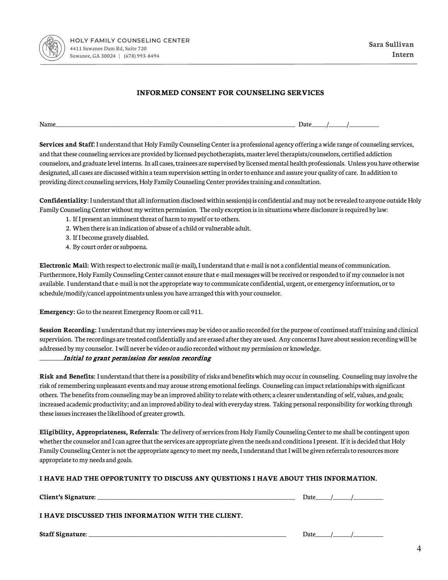

## **INFORMED CONSENT FOR COUNSELING SERVICES**

Name\_\_\_\_\_\_\_\_\_\_\_\_\_\_\_\_\_\_\_\_\_\_\_\_\_\_\_\_\_\_\_\_\_\_\_\_\_\_\_\_\_\_\_\_\_\_\_\_\_\_\_\_\_\_\_\_\_\_\_\_\_\_\_\_\_\_\_\_\_\_\_\_\_\_\_\_\_\_\_\_ Date\_\_\_\_\_/\_\_\_\_\_\_/\_\_\_\_\_\_\_\_\_\_

**Services and Staff**: I understand that Holy Family Counseling Center is a professional agency offering a wide range of counseling services, and that these counseling services are provided by licensed psychotherapists, master level therapists/counselors, certified addiction counselors, and graduate level interns. In all cases, trainees are supervised by licensed mental health professionals. Unless you have otherwise designated, all cases are discussed within a team supervision setting in order to enhance and assure your quality of care. In addition to providing direct counseling services, Holy Family Counseling Center provides training and consultation.

**Confidentiality**: I understand that all information disclosed within session(s) is confidential and may not be revealed to anyone outside Holy Family Counseling Center without my written permission. The only exception is in situations where disclosure is required by law:

- 1. If I present an imminent threat of harm to myself or to others.
- 2. When there is an indication of abuse of a child or vulnerable adult.
- 3. If I become gravely disabled.
- 4. By court order or subpoena.

**Electronic Mail:** With respect to electronic mail (e-mail), I understand thate-mail is not a confidential means of communication. Furthermore, Holy Family Counseling Center cannot ensure that e-mail messages will be received or responded to if my counselor is not available. I understand that e-mail is not the appropriate way to communicate confidential, urgent, or emergency information, or to schedule/modify/cancel appointments unless you have arranged this with your counselor.

**Emergency:** Go to the nearest Emergency Room or call 911.

**Session Recording:** I understand that my interviews may be video or audio recorded for the purpose of continued staff training and clinical supervision. The recordings are treated confidentially and are erased after they are used. Any concerns I have about session recording will be addressed by my counselor. I will never be video or audio recorded without my permission or knowledge.

#### \_\_\_\_\_\_\_\_<sup>I</sup> nitial to grant permission for session recording

**Risk and Benefits:** I understand that there is a possibility of risks and benefits which may occur in counseling. Counseling may involve the risk of remembering unpleasant events and may arouse strong emotional feelings. Counseling can impact relationships with significant others. The benefits from counseling may be an improved ability to relate with others; a clearer understanding of self, values, and goals; increased academic productivity; and an improved ability to deal with everyday stress. Taking personal responsibility for working through these issues increases the likelihood of greater growth.

**Eligibility, Appropriateness, Referrals:** The delivery of services from Holy Family Counseling Center to me shall be contingent upon whether the counselor and I can agree that the services are appropriate given the needs and conditions I present. If it is decided that Holy Family Counseling Center is not the appropriate agency to meet my needs, I understand that I will be given referrals to resources more appropriate to my needs and goals.

#### **I HAVE HAD THE OPPORTUNITY TO DISCUSS ANY QUESTIONS I HAVE ABOUT THIS INFORMATION.**

**Client's Signature:**  $\qquad \qquad$   $\qquad \qquad$  Date  $\qquad /$ 

**I HAVE DISCUSSED THIS INFORMATION WITH THE CLIENT.**

**Staff Signature:**  $\blacksquare$  **Staff Signature:**  $\blacksquare$   $\blacksquare$   $\blacksquare$   $\blacksquare$   $\blacksquare$   $\blacksquare$   $\blacksquare$   $\blacksquare$   $\blacksquare$   $\blacksquare$   $\blacksquare$   $\blacksquare$   $\blacksquare$   $\blacksquare$   $\blacksquare$   $\blacksquare$   $\blacksquare$   $\blacksquare$   $\blacksquare$   $\blacksquare$   $\blacksquare$   $\blacksquare$   $\blacksquare$   $\blacksquare$   $\blacksquare$   $\$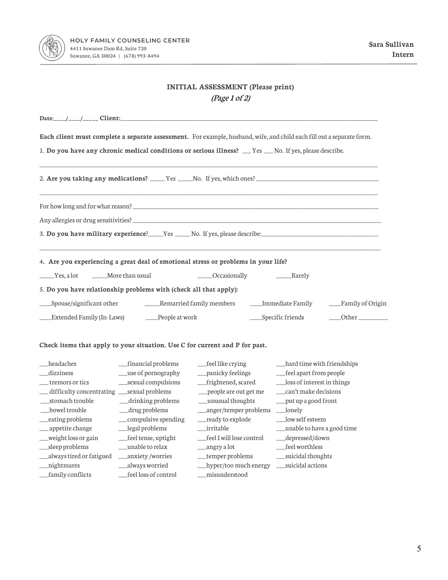

## **INITIAL ASSESSMENT (Please print)** (Page 1 of 2)

| Each client must complete a separate assessment. For example, husband, wife, and child each fill out a separate form.<br>1. Do you have any chronic medical conditions or serious illness? Tes To. If yes, please describe.                                                                                                                                                                                                                                                                                                                                             |
|-------------------------------------------------------------------------------------------------------------------------------------------------------------------------------------------------------------------------------------------------------------------------------------------------------------------------------------------------------------------------------------------------------------------------------------------------------------------------------------------------------------------------------------------------------------------------|
|                                                                                                                                                                                                                                                                                                                                                                                                                                                                                                                                                                         |
|                                                                                                                                                                                                                                                                                                                                                                                                                                                                                                                                                                         |
| 3. Do you have military experience? Same No. If yes, please describe: Same Communication of the Same Communication                                                                                                                                                                                                                                                                                                                                                                                                                                                      |
| 4. Are you experiencing a great deal of emotional stress or problems in your life?<br>____More than usual<br>Occasionally<br>____Yes, a lot<br>_______Rarely<br>5. Do you have relationship problems with (check all that apply):<br>Spouse/significant other<br>____Remarried family members<br>___Immediate Family<br>__Family of Origin                                                                                                                                                                                                                              |
| __People at work<br>Extended Family (In-Laws)<br>____Specific friends<br>Other<br>Check items that apply to your situation. Use C for current and P for past.                                                                                                                                                                                                                                                                                                                                                                                                           |
| headaches<br>_financial problems<br>_feel like crying<br>__hard time with friendships<br>dizziness<br>__use of pornography<br>_feel apart from people<br>__panicky feelings<br>__sexual compulsions<br>__loss of interest in things<br>_frightened, scared<br>tremors or tics<br>__ difficulty concentrating __sexual problems<br>__can't make decisions<br>__people are out get me<br>_stomach trouble<br>__drinking problems<br>__unusual thoughts<br>__put up a good front<br>__bowel trouble<br>$\_\_\_\_\_\_\_\_\$ problems<br>__anger/temper problems<br>__lonely |

- \_\_\_eating problems \_\_\_compulsive spending \_\_\_ready to explode \_\_\_low self esteem \_\_\_ appetitechange \_\_\_legal problems \_\_\_irritable \_\_\_unable to have a good time \_\_\_weight loss or gain \_\_\_feel tense, uptight \_\_\_feel I will lose control \_\_\_depressed/down \_\_\_sleep problems \_\_\_unable to relax \_\_\_angry a lot \_\_\_feel worthless \_\_\_always tired or fatigued \_\_\_anxiety /worries \_\_\_temper problems \_\_\_suicidal thoughts \_\_\_nightmares \_\_\_always worried \_\_\_hyper/too much energy \_\_\_suicidal actions
- \_\_\_family conflicts \_\_\_feel loss of control \_\_\_misunderstood
- 
- 
- 
- 
- -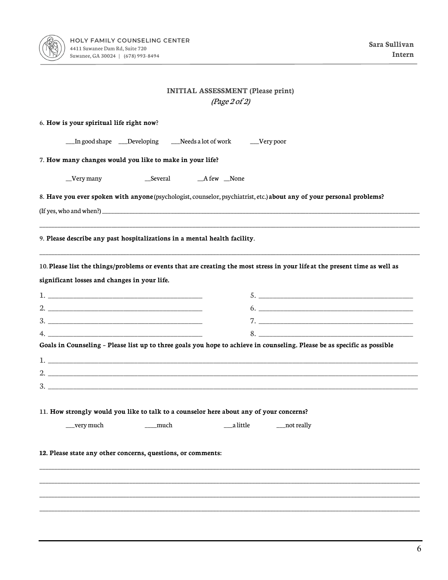

# **INITIAL ASSESSMENT (Please print)** (Page 2 of 2)

## 6. **How is your spiritual life right now**?

|                                              | __In good shape ___Developing ___Needs a lot of work                                    | __Very poor                                                                                                                 |
|----------------------------------------------|-----------------------------------------------------------------------------------------|-----------------------------------------------------------------------------------------------------------------------------|
|                                              |                                                                                         |                                                                                                                             |
|                                              | 7. How many changes would you like to make in your life?                                |                                                                                                                             |
| _Very many                                   |                                                                                         |                                                                                                                             |
|                                              |                                                                                         | 8. Have you ever spoken with anyone (psychologist, counselor, psychiatrist, etc.) about any of your personal problems?      |
|                                              | 9. Please describe any past hospitalizations in a mental health facility.               |                                                                                                                             |
|                                              |                                                                                         | 10. Please list the things/problems or events that are creating the most stress in your life at the present time as well as |
| significant losses and changes in your life. |                                                                                         |                                                                                                                             |
|                                              |                                                                                         | 5.                                                                                                                          |
|                                              | 2.                                                                                      |                                                                                                                             |
|                                              |                                                                                         |                                                                                                                             |
|                                              |                                                                                         |                                                                                                                             |
|                                              |                                                                                         | Goals in Counseling – Please list up to three goals you hope to achieve in counseling. Please be as specific as possible    |
|                                              |                                                                                         |                                                                                                                             |
|                                              |                                                                                         |                                                                                                                             |
|                                              |                                                                                         |                                                                                                                             |
|                                              |                                                                                         |                                                                                                                             |
|                                              | 11. How strongly would you like to talk to a counselor here about any of your concerns? |                                                                                                                             |
| __very much                                  | ___ much                                                                                | ____a little<br>___not really                                                                                               |
|                                              |                                                                                         |                                                                                                                             |
|                                              | 12. Please state any other concerns, questions, or comments:                            |                                                                                                                             |
|                                              |                                                                                         |                                                                                                                             |
|                                              |                                                                                         |                                                                                                                             |
|                                              |                                                                                         |                                                                                                                             |
|                                              |                                                                                         |                                                                                                                             |